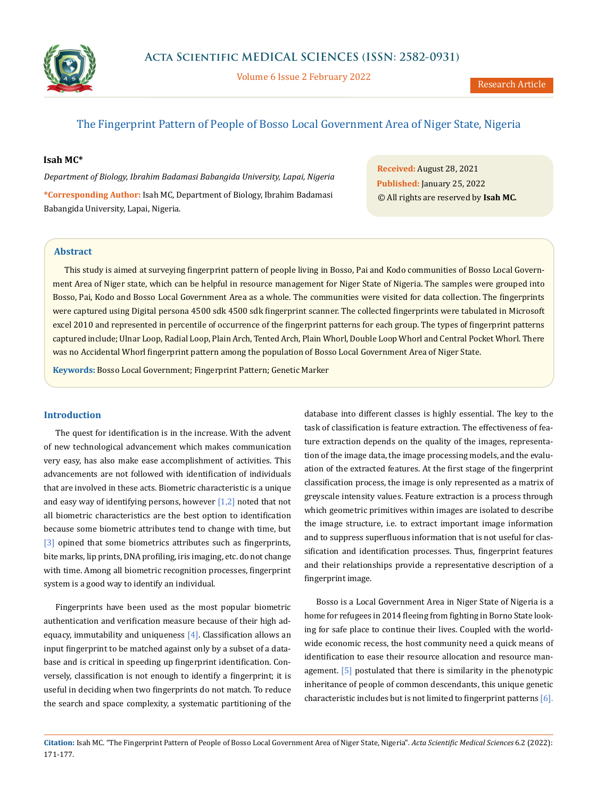

Volume 6 Issue 2 February 2022

# The Fingerprint Pattern of People of Bosso Local Government Area of Niger State, Nigeria

### **Isah MC\***

*Department of Biology, Ibrahim Badamasi Babangida University, Lapai, Nigeria* **\*Corresponding Author:** Isah MC, Department of Biology, Ibrahim Badamasi Babangida University, Lapai, Nigeria.

**Received:** August 28, 2021 **Published:** January 25, 2022 © All rights are reserved by **Isah MC***.*

### **Abstract**

This study is aimed at surveying fingerprint pattern of people living in Bosso, Pai and Kodo communities of Bosso Local Government Area of Niger state, which can be helpful in resource management for Niger State of Nigeria. The samples were grouped into Bosso, Pai, Kodo and Bosso Local Government Area as a whole. The communities were visited for data collection. The fingerprints were captured using Digital persona 4500 sdk 4500 sdk fingerprint scanner. The collected fingerprints were tabulated in Microsoft excel 2010 and represented in percentile of occurrence of the fingerprint patterns for each group. The types of fingerprint patterns captured include; Ulnar Loop, Radial Loop, Plain Arch, Tented Arch, Plain Whorl, Double Loop Whorl and Central Pocket Whorl. There was no Accidental Whorl fingerprint pattern among the population of Bosso Local Government Area of Niger State.

**Keywords:** Bosso Local Government; Fingerprint Pattern; Genetic Marker

#### **Introduction**

The quest for identification is in the increase. With the advent of new technological advancement which makes communication very easy, has also make ease accomplishment of activities. This advancements are not followed with identification of individuals that are involved in these acts. Biometric characteristic is a unique and easy way of identifying persons, however  $[1,2]$  noted that not all biometric characteristics are the best option to identification because some biometric attributes tend to change with time, but [3] opined that some biometrics attributes such as fingerprints, bite marks, lip prints, DNA profiling, iris imaging, etc. do not change with time. Among all biometric recognition processes, fingerprint system is a good way to identify an individual.

Fingerprints have been used as the most popular biometric authentication and verification measure because of their high adequacy, immutability and uniqueness [4]. Classification allows an input fingerprint to be matched against only by a subset of a database and is critical in speeding up fingerprint identification. Conversely, classification is not enough to identify a fingerprint; it is useful in deciding when two fingerprints do not match. To reduce the search and space complexity, a systematic partitioning of the

database into different classes is highly essential. The key to the task of classification is feature extraction. The effectiveness of feature extraction depends on the quality of the images, representation of the image data, the image processing models, and the evaluation of the extracted features. At the first stage of the fingerprint classification process, the image is only represented as a matrix of greyscale intensity values. Feature extraction is a process through which geometric primitives within images are isolated to describe the image structure, i.e. to extract important image information and to suppress superfluous information that is not useful for classification and identification processes. Thus, fingerprint features and their relationships provide a representative description of a fingerprint image.

Bosso is a Local Government Area in Niger State of Nigeria is a home for refugees in 2014 fleeing from fighting in Borno State looking for safe place to continue their lives. Coupled with the worldwide economic recess, the host community need a quick means of identification to ease their resource allocation and resource management. [5] postulated that there is similarity in the phenotypic inheritance of people of common descendants, this unique genetic characteristic includes but is not limited to fingerprint patterns [6].

**Citation:** Isah MC*.* "The Fingerprint Pattern of People of Bosso Local Government Area of Niger State, Nigeria". *Acta Scientific Medical Sciences* 6.2 (2022): 171-177.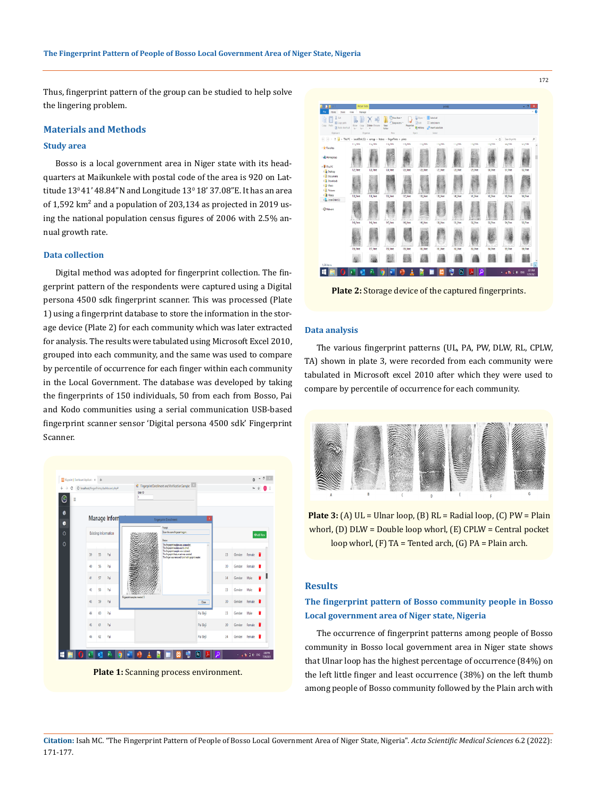Thus, fingerprint pattern of the group can be studied to help solve the lingering problem.

## **Materials and Methods**

#### **Study area**

Bosso is a local government area in Niger state with its headquarters at Maikunkele with postal code of the area is 920 on Lattitude  $13^{\circ}41'$  48.84"N and Longitude  $13^{\circ}$  18' 37.08"E. It has an area of 1,592  $km^2$  and a population of 203,134 as projected in 2019 using the national population census figures of 2006 with 2.5% annual growth rate.

#### **Data collection**

Digital method was adopted for fingerprint collection. The fingerprint pattern of the respondents were captured using a Digital persona 4500 sdk fingerprint scanner. This was processed (Plate 1) using a fingerprint database to store the information in the storage device (Plate 2) for each community which was later extracted for analysis. The results were tabulated using Microsoft Excel 2010, grouped into each community, and the same was used to compare by percentile of occurrence for each finger within each community in the Local Government. The database was developed by taking the fingerprints of 150 individuals, 50 from each from Bosso, Pai and Kodo communities using a serial communication USB-based fingerprint scanner sensor 'Digital persona 4500 sdk' Fingerprint Scanner.



**Plate 1:** Scanning process environment.



**Plate 2:** Storage device of the captured fingerprints.

#### **Data analysis**

The various fingerprint patterns (UL, PA, PW, DLW, RL, CPLW, TA) shown in plate 3, were recorded from each community were tabulated in Microsoft excel 2010 after which they were used to compare by percentile of occurrence for each community.



**Plate 3:** (A) UL = Ulnar loop, (B) RL = Radial loop, (C) PW = Plain whorl, (D) DLW = Double loop whorl, (E) CPLW = Central pocket loop whorl, (F) TA = Tented arch, (G) PA = Plain arch.

# **Results**

# **The fingerprint pattern of Bosso community people in Bosso Local government area of Niger state, Nigeria**

The occurrence of fingerprint patterns among people of Bosso community in Bosso local government area in Niger state shows that Ulnar loop has the highest percentage of occurrence (84%) on the left little finger and least occurrence (38%) on the left thumb among people of Bosso community followed by the Plain arch with

**Citation:** Isah MC*.* "The Fingerprint Pattern of People of Bosso Local Government Area of Niger State, Nigeria". *Acta Scientific Medical Sciences* 6.2 (2022): 171-177.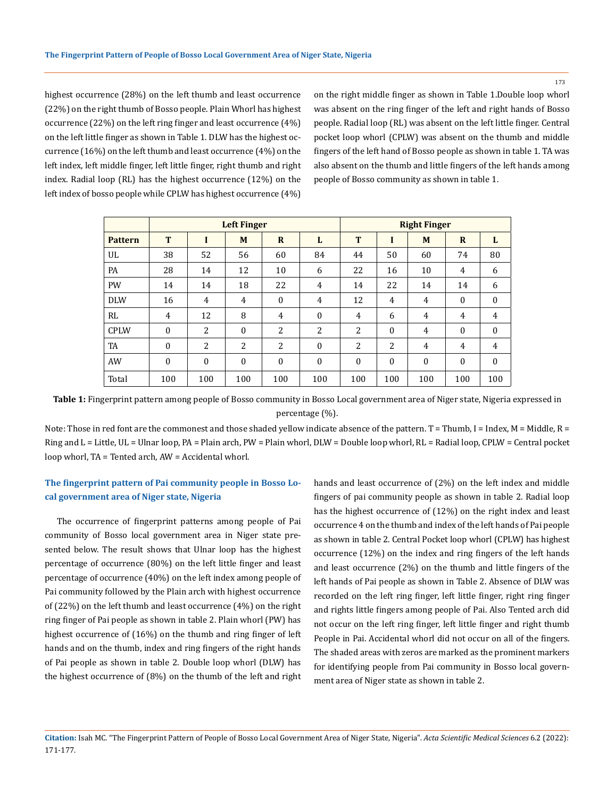173

highest occurrence (28%) on the left thumb and least occurrence (22%) on the right thumb of Bosso people. Plain Whorl has highest occurrence (22%) on the left ring finger and least occurrence (4%) on the left little finger as shown in Table 1. DLW has the highest occurrence (16%) on the left thumb and least occurrence (4%) on the left index, left middle finger, left little finger, right thumb and right index. Radial loop (RL) has the highest occurrence (12%) on the left index of bosso people while CPLW has highest occurrence (4%) on the right middle finger as shown in Table 1.Double loop whorl was absent on the ring finger of the left and right hands of Bosso people. Radial loop (RL) was absent on the left little finger. Central pocket loop whorl (CPLW) was absent on the thumb and middle fingers of the left hand of Bosso people as shown in table 1. TA was also absent on the thumb and little fingers of the left hands among people of Bosso community as shown in table 1.

|                | <b>Left Finger</b> |              |              |                |              |          | <b>Right Finger</b> |              |              |              |  |
|----------------|--------------------|--------------|--------------|----------------|--------------|----------|---------------------|--------------|--------------|--------------|--|
| <b>Pattern</b> | T                  |              | M            | $\mathbf R$    | L            | T        |                     | M            | $\mathbf R$  | L            |  |
| UL             | 38                 | 52           | 56           | 60             | 84           | 44       | 50                  | 60           | 74           | 80           |  |
| PA             | 28                 | 14           | 12           | 10             | 6            | 22       | 16                  | 10           | 4            | 6            |  |
| <b>PW</b>      | 14                 | 14           | 18           | 22             | 4            | 14       | 22                  | 14           | 14           | 6            |  |
| <b>DLW</b>     | 16                 | 4            | 4            | $\mathbf{0}$   | 4            | 12       | 4                   | 4            | $\mathbf{0}$ | $\mathbf{0}$ |  |
| RL             | 4                  | 12           | 8            | $\overline{4}$ | $\mathbf{0}$ | 4        | 6                   | 4            | 4            | 4            |  |
| <b>CPLW</b>    | $\mathbf{0}$       | 2            | $\theta$     | 2              | 2            | 2        | $\Omega$            | 4            | $\mathbf{0}$ | $\mathbf{0}$ |  |
| <b>TA</b>      | $\mathbf{0}$       | 2            | 2            | 2              | $\mathbf{0}$ | 2        | 2                   | 4            | 4            | 4            |  |
| AW             | $\mathbf{0}$       | $\mathbf{0}$ | $\mathbf{0}$ | $\theta$       | $\mathbf{0}$ | $\theta$ | $\mathbf{0}$        | $\mathbf{0}$ | $\mathbf{0}$ | $\Omega$     |  |
| Total          | 100                | 100          | 100          | 100            | 100          | 100      | 100                 | 100          | 100          | 100          |  |

**Table 1:** Fingerprint pattern among people of Bosso community in Bosso Local government area of Niger state, Nigeria expressed in percentage (%).

Note: Those in red font are the commonest and those shaded yellow indicate absence of the pattern. T = Thumb, I = Index, M = Middle, R = Ring and L = Little, UL = Ulnar loop, PA = Plain arch, PW = Plain whorl, DLW = Double loop whorl, RL = Radial loop, CPLW = Central pocket loop whorl, TA = Tented arch, AW = Accidental whorl.

# **The fingerprint pattern of Pai community people in Bosso Local government area of Niger state, Nigeria**

The occurrence of fingerprint patterns among people of Pai community of Bosso local government area in Niger state presented below. The result shows that Ulnar loop has the highest percentage of occurrence (80%) on the left little finger and least percentage of occurrence (40%) on the left index among people of Pai community followed by the Plain arch with highest occurrence of (22%) on the left thumb and least occurrence (4%) on the right ring finger of Pai people as shown in table 2. Plain whorl (PW) has highest occurrence of (16%) on the thumb and ring finger of left hands and on the thumb, index and ring fingers of the right hands of Pai people as shown in table 2. Double loop whorl (DLW) has the highest occurrence of (8%) on the thumb of the left and right

hands and least occurrence of (2%) on the left index and middle fingers of pai community people as shown in table 2. Radial loop has the highest occurrence of (12%) on the right index and least occurrence 4 on the thumb and index of the left hands of Pai people as shown in table 2. Central Pocket loop whorl (CPLW) has highest occurrence (12%) on the index and ring fingers of the left hands and least occurrence (2%) on the thumb and little fingers of the left hands of Pai people as shown in Table 2. Absence of DLW was recorded on the left ring finger, left little finger, right ring finger and rights little fingers among people of Pai. Also Tented arch did not occur on the left ring finger, left little finger and right thumb People in Pai. Accidental whorl did not occur on all of the fingers. The shaded areas with zeros are marked as the prominent markers for identifying people from Pai community in Bosso local government area of Niger state as shown in table 2.

**Citation:** Isah MC*.* "The Fingerprint Pattern of People of Bosso Local Government Area of Niger State, Nigeria". *Acta Scientific Medical Sciences* 6.2 (2022): 171-177.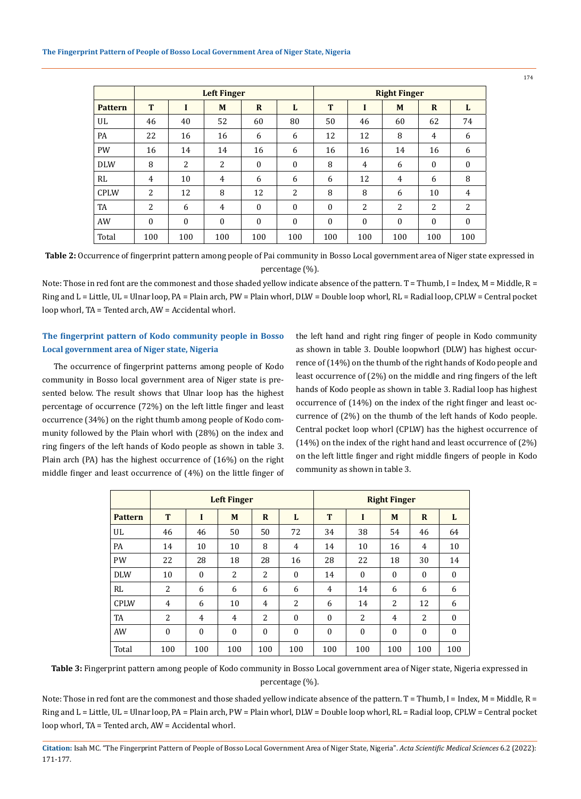|                | <b>Left Finger</b> |          |          |              |              |          | <b>Right Finger</b> |              |                |          |  |  |
|----------------|--------------------|----------|----------|--------------|--------------|----------|---------------------|--------------|----------------|----------|--|--|
| <b>Pattern</b> | T                  |          | M        | $\mathbf R$  | L            | T        | I                   | M            | $\mathbf R$    | L        |  |  |
| UL             | 46                 | 40       | 52       | 60           | 80           | 50       | 46                  | 60           | 62             | 74       |  |  |
| <b>PA</b>      | 22                 | 16       | 16       | 6            | 6            | 12       | 12                  | 8            | $\overline{4}$ | 6        |  |  |
| <b>PW</b>      | 16                 | 14       | 14       | 16           | 6            | 16       | 16                  | 14           | 16             | 6        |  |  |
| <b>DLW</b>     | 8                  | 2        | 2        | $\mathbf{0}$ | $\mathbf{0}$ | 8        | 4                   | 6            | $\Omega$       | $\Omega$ |  |  |
| RL             | 4                  | 10       | 4        | 6            | 6            | 6        | 12                  | 4            | 6              | 8        |  |  |
| <b>CPLW</b>    | 2                  | 12       | 8        | 12           | 2            | 8        | 8                   | 6            | 10             | 4        |  |  |
| <b>TA</b>      | 2                  | 6        | 4        | $\mathbf{0}$ | $\mathbf{0}$ | $\theta$ | 2                   | 2            | 2              | 2        |  |  |
| AW             | $\theta$           | $\theta$ | $\theta$ | $\mathbf{0}$ | $\mathbf{0}$ | $\theta$ | $\theta$            | $\mathbf{0}$ | $\theta$       | $\Omega$ |  |  |
| Total          | 100                | 100      | 100      | 100          | 100          | 100      | 100                 | 100          | 100            | 100      |  |  |

**Table 2:** Occurrence of fingerprint pattern among people of Pai community in Bosso Local government area of Niger state expressed in percentage (%).

Note: Those in red font are the commonest and those shaded yellow indicate absence of the pattern. T = Thumb, I = Index, M = Middle, R = Ring and L = Little, UL = Ulnar loop, PA = Plain arch, PW = Plain whorl, DLW = Double loop whorl, RL = Radial loop, CPLW = Central pocket loop whorl, TA = Tented arch, AW = Accidental whorl.

# **The fingerprint pattern of Kodo community people in Bosso Local government area of Niger state, Nigeria**

The occurrence of fingerprint patterns among people of Kodo community in Bosso local government area of Niger state is presented below. The result shows that Ulnar loop has the highest percentage of occurrence (72%) on the left little finger and least occurrence (34%) on the right thumb among people of Kodo community followed by the Plain whorl with (28%) on the index and ring fingers of the left hands of Kodo people as shown in table 3. Plain arch (PA) has the highest occurrence of (16%) on the right middle finger and least occurrence of (4%) on the little finger of the left hand and right ring finger of people in Kodo community as shown in table 3. Double loopwhorl (DLW) has highest occurrence of (14%) on the thumb of the right hands of Kodo people and least occurrence of (2%) on the middle and ring fingers of the left hands of Kodo people as shown in table 3. Radial loop has highest occurrence of (14%) on the index of the right finger and least occurrence of (2%) on the thumb of the left hands of Kodo people. Central pocket loop whorl (CPLW) has the highest occurrence of (14%) on the index of the right hand and least occurrence of (2%) on the left little finger and right middle fingers of people in Kodo community as shown in table 3.

|                |              | <b>Right Finger</b> |                |                |              |                  |              |                |              |              |
|----------------|--------------|---------------------|----------------|----------------|--------------|------------------|--------------|----------------|--------------|--------------|
| <b>Pattern</b> | T            | I                   | M              | $\mathbf R$    | L            | T                | п            | M              | $\mathbf R$  | L            |
| UL             | 46           | 46                  | 50             | 50             | 72           | 34               | 38           | 54             | 46           | 64           |
| PA             | 14           | 10                  | 10             | 8              | 4            | 14               | 10           | 16             | 4            | 10           |
| <b>PW</b>      | 22           | 28                  | 18             | 28             | 16           | 28               | 22           | 18             | 30           | 14           |
| <b>DLW</b>     | 10           | $\mathbf{0}$        | 2              | $\overline{2}$ | $\mathbf{0}$ | 14               | $\mathbf{0}$ | $\mathbf{0}$   | $\mathbf{0}$ | $\mathbf{0}$ |
| RL             | 2            | 6                   | 6              | 6              | 6            | 4                | 14           | 6              | 6            | 6            |
| <b>CPLW</b>    | 4            | 6                   | 10             | 4              | 2            | 6                | 14           | $\overline{2}$ | 12           | 6            |
| TA             | 2            | $\overline{4}$      | $\overline{4}$ | $\overline{2}$ | 0            | $\boldsymbol{0}$ | 2            | $\overline{4}$ | 2            | $\mathbf{0}$ |
| AW             | $\mathbf{0}$ | $\mathbf{0}$        | $\mathbf{0}$   | $\mathbf{0}$   | $\mathbf{0}$ | $\boldsymbol{0}$ | $\mathbf{0}$ | $\mathbf{0}$   | $\mathbf{0}$ | $\mathbf{0}$ |
| Total          | 100          | 100                 | 100            | 100            | 100          | 100              | 100          | 100            | 100          | 100          |

**Table 3:** Fingerprint pattern among people of Kodo community in Bosso Local government area of Niger state, Nigeria expressed in percentage (%).

Note: Those in red font are the commonest and those shaded yellow indicate absence of the pattern. T = Thumb, I = Index, M = Middle, R = Ring and L = Little, UL = Ulnar loop, PA = Plain arch, PW = Plain whorl, DLW = Double loop whorl, RL = Radial loop, CPLW = Central pocket loop whorl, TA = Tented arch, AW = Accidental whorl.

**Citation:** Isah MC*.* "The Fingerprint Pattern of People of Bosso Local Government Area of Niger State, Nigeria". *Acta Scientific Medical Sciences* 6.2 (2022): 171-177.

174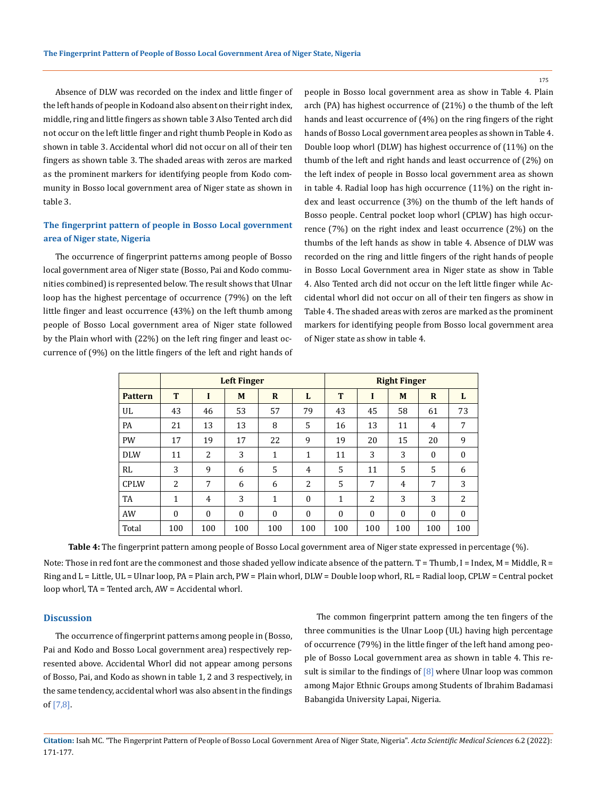175

Absence of DLW was recorded on the index and little finger of the left hands of people in Kodoand also absent on their right index, middle, ring and little fingers as shown table 3 Also Tented arch did not occur on the left little finger and right thumb People in Kodo as shown in table 3. Accidental whorl did not occur on all of their ten fingers as shown table 3. The shaded areas with zeros are marked as the prominent markers for identifying people from Kodo community in Bosso local government area of Niger state as shown in table 3.

# **The fingerprint pattern of people in Bosso Local government area of Niger state, Nigeria**

The occurrence of fingerprint patterns among people of Bosso local government area of Niger state (Bosso, Pai and Kodo communities combined) is represented below. The result shows that Ulnar loop has the highest percentage of occurrence (79%) on the left little finger and least occurrence (43%) on the left thumb among people of Bosso Local government area of Niger state followed by the Plain whorl with (22%) on the left ring finger and least occurrence of (9%) on the little fingers of the left and right hands of people in Bosso local government area as show in Table 4. Plain arch (PA) has highest occurrence of (21%) o the thumb of the left hands and least occurrence of (4%) on the ring fingers of the right hands of Bosso Local government area peoples as shown in Table 4. Double loop whorl (DLW) has highest occurrence of (11%) on the thumb of the left and right hands and least occurrence of (2%) on the left index of people in Bosso local government area as shown in table 4. Radial loop has high occurrence (11%) on the right index and least occurrence (3%) on the thumb of the left hands of Bosso people. Central pocket loop whorl (CPLW) has high occurrence (7%) on the right index and least occurrence (2%) on the thumbs of the left hands as show in table 4. Absence of DLW was recorded on the ring and little fingers of the right hands of people in Bosso Local Government area in Niger state as show in Table 4. Also Tented arch did not occur on the left little finger while Accidental whorl did not occur on all of their ten fingers as show in Table 4. The shaded areas with zeros are marked as the prominent markers for identifying people from Bosso local government area of Niger state as show in table 4.

|                |          | <b>Right Finger</b> |          |                |              |              |          |          |                  |                  |
|----------------|----------|---------------------|----------|----------------|--------------|--------------|----------|----------|------------------|------------------|
| <b>Pattern</b> | T        | I                   | M        | R              | L            | T            |          | M        | $\mathbf R$      | L                |
| UL             | 43       | 46                  | 53       | 57             | 79           | 43           | 45       | 58       | 61               | 73               |
| PA             | 21       | 13                  | 13       | 8              | 5            | 16           | 13       | 11       | $\overline{4}$   | 7                |
| <b>PW</b>      | 17       | 19                  | 17       | 22             | 9            | 19           | 20       | 15       | 20               | 9                |
| <b>DLW</b>     | 11       | 2                   | 3        | 1              | 1            | 11           | 3        | 3        | $\boldsymbol{0}$ | $\boldsymbol{0}$ |
| <b>RL</b>      | 3        | 9                   | 6        | $\overline{5}$ | 4            | 5            | 11       | 5        | 5                | 6                |
| <b>CPLW</b>    | 2        | 7                   | 6        | 6              | 2            | 5            | 7        | 4        | 7                | 3                |
| <b>TA</b>      | 1        | 4                   | 3        | 1              | $\mathbf{0}$ | 1            | 2        | 3        | 3                | 2                |
| AW             | $\theta$ | $\theta$            | $\theta$ | $\Omega$       | $\theta$     | $\mathbf{0}$ | $\Omega$ | $\theta$ | $\theta$         | $\mathbf{0}$     |
| Total          | 100      | 100                 | 100      | 100            | 100          | 100          | 100      | 100      | 100              | 100              |

**Table 4:** The fingerprint pattern among people of Bosso Local government area of Niger state expressed in percentage (%).

Note: Those in red font are the commonest and those shaded yellow indicate absence of the pattern. T = Thumb, I = Index, M = Middle, R = Ring and L = Little, UL = Ulnar loop, PA = Plain arch, PW = Plain whorl, DLW = Double loop whorl, RL = Radial loop, CPLW = Central pocket loop whorl, TA = Tented arch, AW = Accidental whorl.

### **Discussion**

The occurrence of fingerprint patterns among people in (Bosso, Pai and Kodo and Bosso Local government area) respectively represented above. Accidental Whorl did not appear among persons of Bosso, Pai, and Kodo as shown in table 1, 2 and 3 respectively, in the same tendency, accidental whorl was also absent in the findings of [7,8].

The common fingerprint pattern among the ten fingers of the three communities is the Ulnar Loop (UL) having high percentage of occurrence (79%) in the little finger of the left hand among people of Bosso Local government area as shown in table 4. This result is similar to the findings of  $[8]$  where Ulnar loop was common among Major Ethnic Groups among Students of Ibrahim Badamasi Babangida University Lapai, Nigeria.

**Citation:** Isah MC*.* "The Fingerprint Pattern of People of Bosso Local Government Area of Niger State, Nigeria". *Acta Scientific Medical Sciences* 6.2 (2022): 171-177.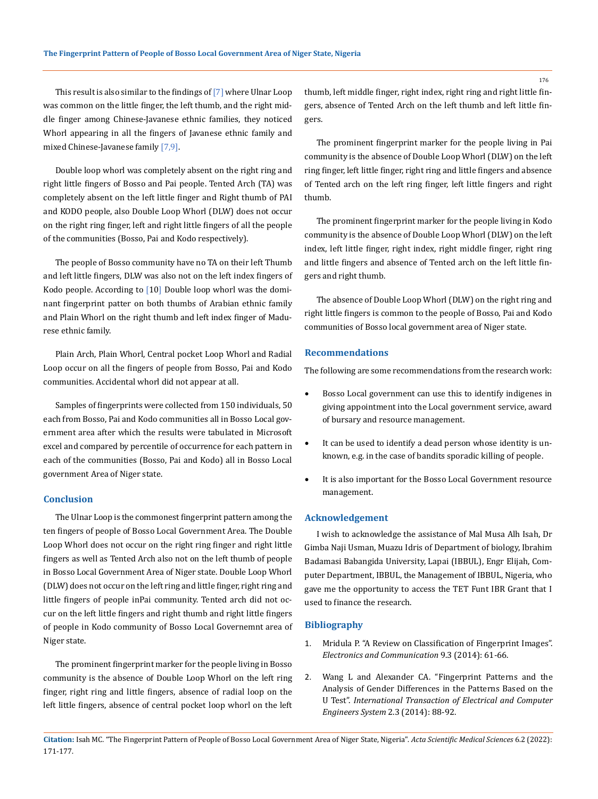This result is also similar to the findings of [7] where Ulnar Loop was common on the little finger, the left thumb, and the right middle finger among Chinese-Javanese ethnic families, they noticed Whorl appearing in all the fingers of Javanese ethnic family and mixed Chinese-Javanese family [7,9].

Double loop whorl was completely absent on the right ring and right little fingers of Bosso and Pai people. Tented Arch (TA) was completely absent on the left little finger and Right thumb of PAI and KODO people, also Double Loop Whorl (DLW) does not occur on the right ring finger, left and right little fingers of all the people of the communities (Bosso, Pai and Kodo respectively).

The people of Bosso community have no TA on their left Thumb and left little fingers, DLW was also not on the left index fingers of Kodo people. According to [10] Double loop whorl was the dominant fingerprint patter on both thumbs of Arabian ethnic family and Plain Whorl on the right thumb and left index finger of Madurese ethnic family.

Plain Arch, Plain Whorl, Central pocket Loop Whorl and Radial Loop occur on all the fingers of people from Bosso, Pai and Kodo communities. Accidental whorl did not appear at all.

Samples of fingerprints were collected from 150 individuals, 50 each from Bosso, Pai and Kodo communities all in Bosso Local government area after which the results were tabulated in Microsoft excel and compared by percentile of occurrence for each pattern in each of the communities (Bosso, Pai and Kodo) all in Bosso Local government Area of Niger state.

#### **Conclusion**

The Ulnar Loop is the commonest fingerprint pattern among the ten fingers of people of Bosso Local Government Area. The Double Loop Whorl does not occur on the right ring finger and right little fingers as well as Tented Arch also not on the left thumb of people in Bosso Local Government Area of Niger state. Double Loop Whorl (DLW) does not occur on the left ring and little finger, right ring and little fingers of people inPai community. Tented arch did not occur on the left little fingers and right thumb and right little fingers of people in Kodo community of Bosso Local Governemnt area of Niger state.

The prominent fingerprint marker for the people living in Bosso community is the absence of Double Loop Whorl on the left ring finger, right ring and little fingers, absence of radial loop on the left little fingers, absence of central pocket loop whorl on the left thumb, left middle finger, right index, right ring and right little fingers, absence of Tented Arch on the left thumb and left little fingers.

The prominent fingerprint marker for the people living in Pai community is the absence of Double Loop Whorl (DLW) on the left ring finger, left little finger, right ring and little fingers and absence of Tented arch on the left ring finger, left little fingers and right thumb.

The prominent fingerprint marker for the people living in Kodo community is the absence of Double Loop Whorl (DLW) on the left index, left little finger, right index, right middle finger, right ring and little fingers and absence of Tented arch on the left little fingers and right thumb.

The absence of Double Loop Whorl (DLW) on the right ring and right little fingers is common to the people of Bosso, Pai and Kodo communities of Bosso local government area of Niger state.

### **Recommendations**

The following are some recommendations from the research work:

- • Bosso Local government can use this to identify indigenes in giving appointment into the Local government service, award of bursary and resource management.
- It can be used to identify a dead person whose identity is unknown, e.g. in the case of bandits sporadic killing of people.
- • It is also important for the Bosso Local Government resource management.

#### **Acknowledgement**

I wish to acknowledge the assistance of Mal Musa Alh Isah, Dr Gimba Naji Usman, Muazu Idris of Department of biology, Ibrahim Badamasi Babangida University, Lapai (IBBUL), Engr Elijah, Computer Department, IBBUL, the Management of IBBUL, Nigeria, who gave me the opportunity to access the TET Funt IBR Grant that I used to finance the research.

#### **Bibliography**

- 1. [Mridula P. "A Review on Classification of Fingerprint Images".](https://www.iosrjournals.org/iosr-jece/papers/Vol.%209%20Issue%203/Version-3/J09336166.pdf) *[Electronics and Communication](https://www.iosrjournals.org/iosr-jece/papers/Vol.%209%20Issue%203/Version-3/J09336166.pdf)* 9.3 (2014): 61-66.
- 2. [Wang L and Alexander CA. "Fingerprint Patterns and the](http://www.sciepub.com/ITECES/content/2/3) [Analysis of Gender Differences in the Patterns Based on the](http://www.sciepub.com/ITECES/content/2/3) U Test". *[International Transaction of Electrical and Computer](http://www.sciepub.com/ITECES/content/2/3) [Engineers System](http://www.sciepub.com/ITECES/content/2/3)* 2.3 (2014): 88-92.

176

**Citation:** Isah MC*.* "The Fingerprint Pattern of People of Bosso Local Government Area of Niger State, Nigeria". *Acta Scientific Medical Sciences* 6.2 (2022): 171-177.